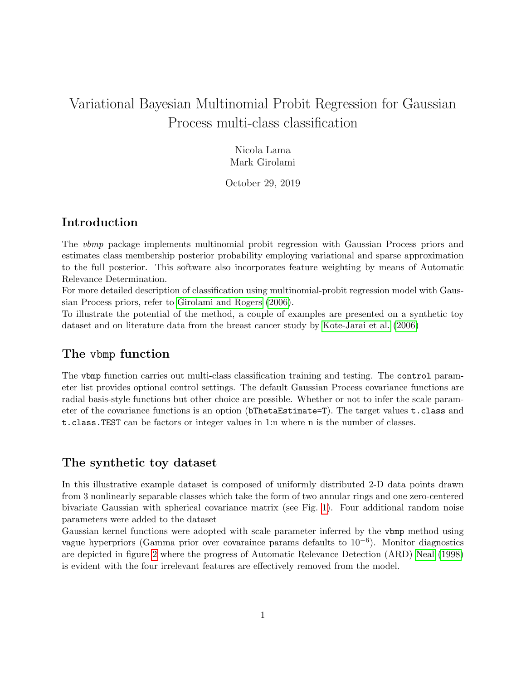# Variational Bayesian Multinomial Probit Regression for Gaussian Process multi-class classification

Nicola Lama Mark Girolami

October 29, 2019

## Introduction

The vbmp package implements multinomial probit regression with Gaussian Process priors and estimates class membership posterior probability employing variational and sparse approximation to the full posterior. This software also incorporates feature weighting by means of Automatic Relevance Determination.

For more detailed description of classification using multinomial-probit regression model with Gaussian Process priors, refer to [Girolami and Rogers](#page-5-0) [\(2006\)](#page-5-0).

To illustrate the potential of the method, a couple of examples are presented on a synthetic toy dataset and on literature data from the breast cancer study by [Kote-Jarai et al.](#page-5-1) [\(2006\)](#page-5-1)

#### The vbmp function

The vbmp function carries out multi-class classification training and testing. The control parameter list provides optional control settings. The default Gaussian Process covariance functions are radial basis-style functions but other choice are possible. Whether or not to infer the scale parameter of the covariance functions is an option (bThetaEstimate=T). The target values t.class and t.class.TEST can be factors or integer values in 1:n where n is the number of classes.

#### The synthetic toy dataset

In this illustrative example dataset is composed of uniformly distributed 2-D data points drawn from 3 nonlinearly separable classes which take the form of two annular rings and one zero-centered bivariate Gaussian with spherical covariance matrix (see Fig. [1\)](#page-2-0). Four additional random noise parameters were added to the dataset

Gaussian kernel functions were adopted with scale parameter inferred by the vbmp method using vague hyperpriors (Gamma prior over covaraince params defaults to 10−<sup>6</sup> ). Monitor diagnostics are depicted in figure [2](#page-3-0) where the progress of Automatic Relevance Detection (ARD) [Neal](#page-5-2) [\(1998\)](#page-5-2) is evident with the four irrelevant features are effectively removed from the model.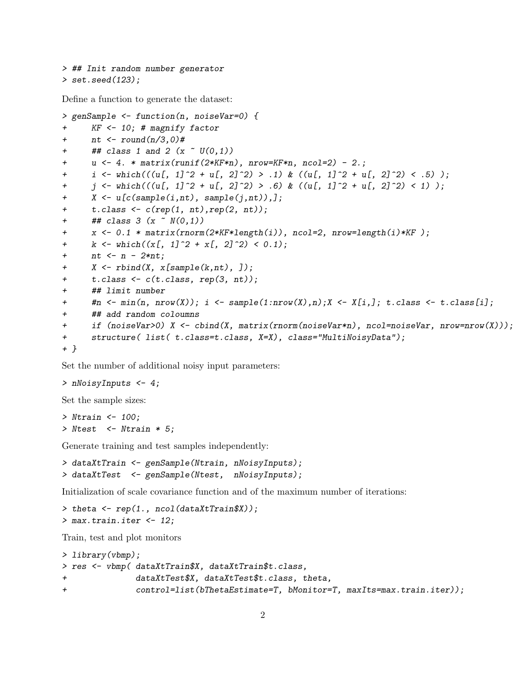```
> ## Init random number generator
> set.seed(123);
```
Define a function to generate the dataset:

```
> genSample <- function(n, noiseVar=0) {
+ KF <- 10; # magnify factor
+ nt \leftarrow \text{round}(n/3, 0)#
+ ## class 1 and 2 (x " U(0,1))+ u <- 4. * matrix(runif(2*KF*n), nrow=KF*n, ncol=2) - 2.;
+ i <- which(((u[, 1]^2 + u[, 2]^2) > .1) & ((u[, 1]^2 + u[, 2]^2) < .5) );
+ j \leftarrow \text{which}(((u[, 1]^2 + u[, 2]^2) > .6) \& ((u[, 1]^2 + u[, 2]^2) < 1);
+ X <- u[c(sample(i,nt), sample(j,nt)),];
+ t.class <- c(rep(1, nt),rep(2, nt));
+ ## class 3 (x \sim N(0,1))+ x <- 0.1 * matrix(rnorm(2*KF*length(i)), ncol=2, nrow=length(i)*KF );
+ k \leftarrow \text{which}((x[, 1]^2 + x[, 2]^2) < 0.1);+ nt \leq n - 2*nt;+ X \leftarrow \text{rbind}(X, x[\text{sample}(k, nt), ]);+ t.class <- c(t.class, rep(3, nt));
+ ## limit number
+ \#n \leq min(n, nrow(X)); i \leq sample(1:nrow(X),n);X \leq X[i,]; t.class \leq t.class[i];
+ ## add random coloumns
+ if (noiseVar>0) X <- cbind(X, matrix(rnorm(noiseVar*n), ncol=noiseVar, nrow=nrow(X)));
+ structure( list( t.class=t.class, X=X), class="MultiNoisyData");
+ }
```
Set the number of additional noisy input parameters:

```
> nNoisyInputs <- 4;
```
Set the sample sizes:

> Ntrain <- 100; > Ntest <- Ntrain \* 5;

Generate training and test samples independently:

```
> dataXtTrain <- genSample(Ntrain, nNoisyInputs);
> dataXtTest <- genSample(Ntest, nNoisyInputs);
```
Initialization of scale covariance function and of the maximum number of iterations:

```
> theta <- rep(1., ncol(dataXtTrain$X));
> max.train.iter <-12;
```
Train, test and plot monitors

```
> library(vbmp);
> res <- vbmp( dataXtTrain$X, dataXtTrain$t.class,
+ dataXtTest$X, dataXtTest$t.class, theta,
+ control=list(bThetaEstimate=T, bMonitor=T, maxIts=max.train.iter));
```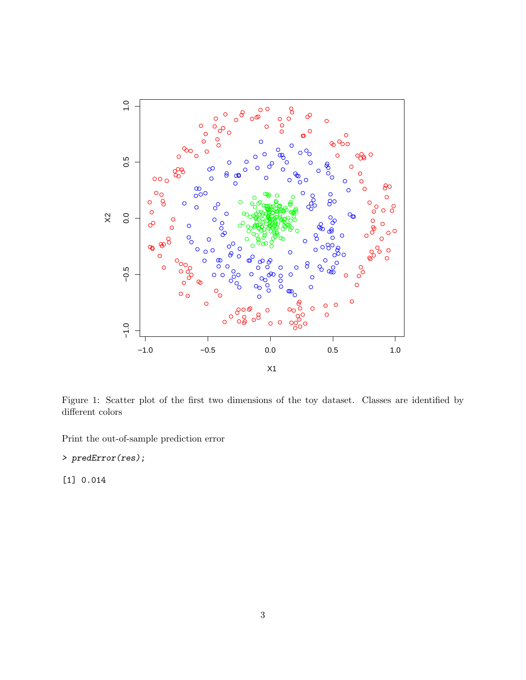

<span id="page-2-0"></span>Figure 1: Scatter plot of the first two dimensions of the toy dataset. Classes are identified by  $\!$  different colors

Print the out-of-sample prediction error

> predError(res);

 $[1] 0.014$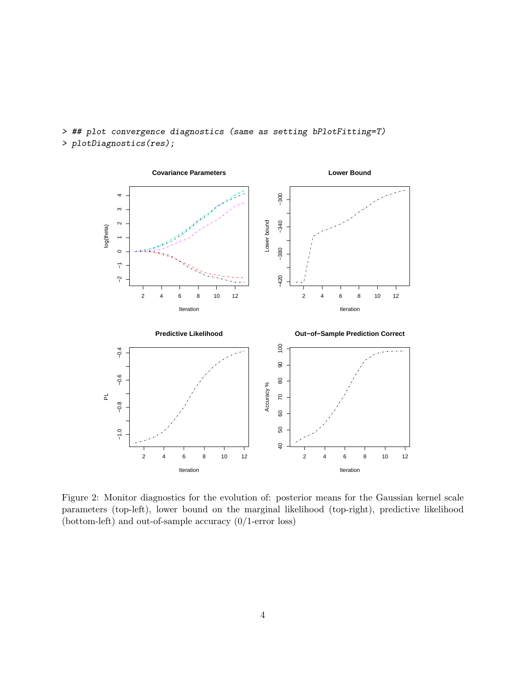

> ## plot convergence diagnostics (same as setting bPlotFitting=T) > plotDiagnostics(res);

<span id="page-3-0"></span>Figure 2: Monitor diagnostics for the evolution of: posterior means for the Gaussian kernel scale parameters (top-left), lower bound on the marginal likelihood (top-right), predictive likelihood (bottom-left) and out-of-sample accuracy (0/1-error loss)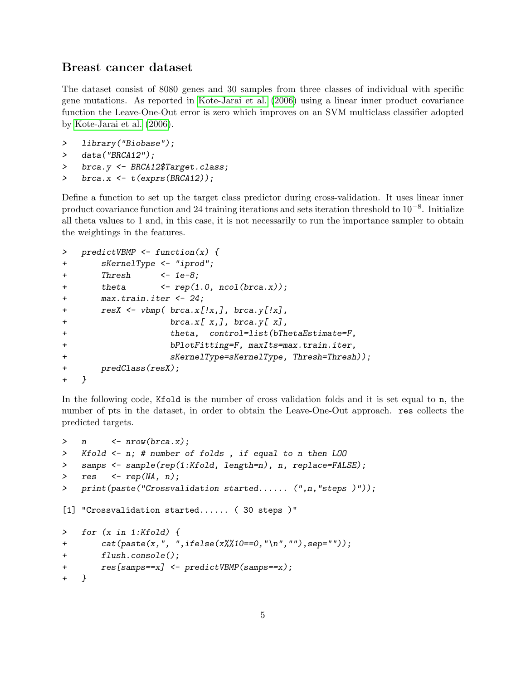### Breast cancer dataset

The dataset consist of 8080 genes and 30 samples from three classes of individual with specific gene mutations. As reported in [Kote-Jarai et al.](#page-5-1) [\(2006\)](#page-5-1) using a linear inner product covariance function the Leave-One-Out error is zero which improves on an SVM multiclass classifier adopted by [Kote-Jarai et al.](#page-5-1) [\(2006\)](#page-5-1).

```
> library("Biobase");
```
> data("BRCA12");

```
> brca.y <- BRCA12$Target.class;
```
>  $brca.x \leftarrow t(exprs(BRCA12));$ 

Define a function to set up the target class predictor during cross-validation. It uses linear inner product covariance function and 24 training iterations and sets iteration threshold to  $10^{-8}$ . Initialize all theta values to 1 and, in this case, it is not necessarily to run the importance sampler to obtain the weightings in the features.

```
> predictVBMP <- function(x) {
+ sKernelType <- "iprod";
+ Thresh <- 1e-8;
+ theta \leftarrow \text{rep}(1.0, \text{ncol}(b r c a.x));+ max.train.iter <- 24;
+ resX <- vbmp( brca.x[!x,], brca.y[!x],
+ brca.x[ x,], brca.y[ x],
+ theta, control=list(bThetaEstimate=F,
+ bPlotFitting=F, maxIts=max.train.iter,
+ sKernelType=sKernelType, Thresh=Thresh));
+ predClass(resX);
+ }
```
In the following code, Kfold is the number of cross validation folds and it is set equal to n, the number of pts in the dataset, in order to obtain the Leave-One-Out approach. res collects the predicted targets.

```
> n \leq nrow(brca.x);
> Kfold <- n; # number of folds , if equal to n then LOO
> samps <- sample(rep(1:Kfold, length=n), n, replace=FALSE);
> res <- rep(NA, n);> print(paste("Crossvalidation started...... (",n,"steps )"));
[1] "Crossvalidation started...... ( 30 steps )"
> for (x in 1:Kfold) {
+ cat(paste(x,", ",ifelse(x%%10==0,"\n",""),sep=""));
+ flush.console();
+ res[samps==x] <- predictVBMP(samps==x);
+ }
```